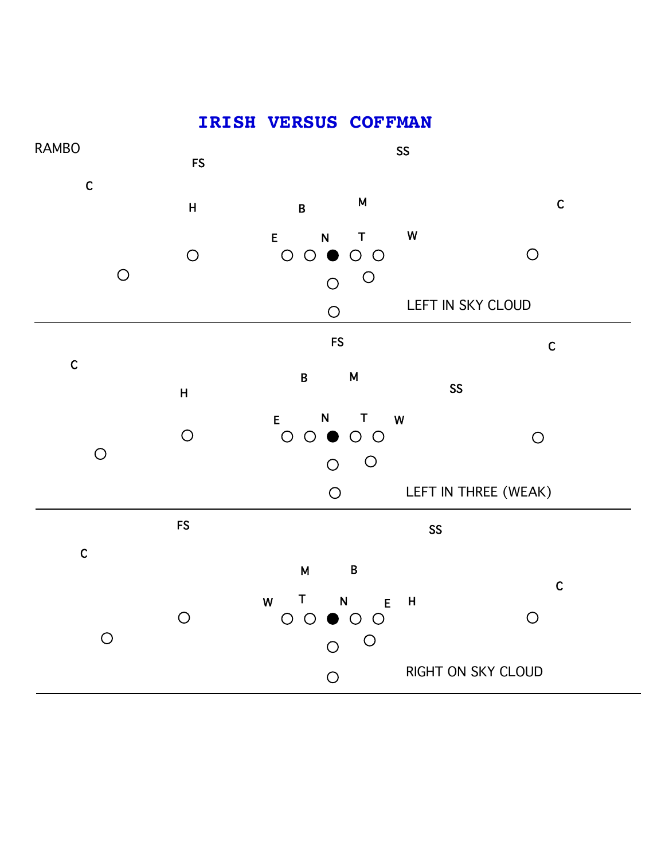## RAMBO SS FS C C H B <sup>M</sup> W E N T  $\bigcirc$  $O O \bullet O O$  $\bigcirc$  $\bigcirc$  $\circ$  $\circ$ LEFT IN SKY CLOUD  $\bigcirc$ FS CONTROL CONTROL CONTROL CONTROL CONTROL CONTROL CONTROL CONTROL CONTROL CONTROL CONTROL CONTROL CONTROL CONTROL CONTROL CONTROL CONTROL CONTROL CONTROL CONTROL CONTROL CONTROL CONTROL CONTROL CONTROL CONTROL CONTROL CON C B M SS H E N T W  $\bigcirc$  $O O \bullet O O$  $\bigcirc$  $\bigcirc$  $\overline{O}$  $\circ$ LEFT IN THREE (WEAK)  $\bigcirc$ FS SS C M B C W T N E<br>
O O O O O  $E$  H  $\bigcirc$  $\bigcirc$  $\bigcirc$  $\overline{O}$  $\circ$ RIGHT ON SKY CLOUD

 $\circ$ 

**IRISH VERSUS COFFMAN**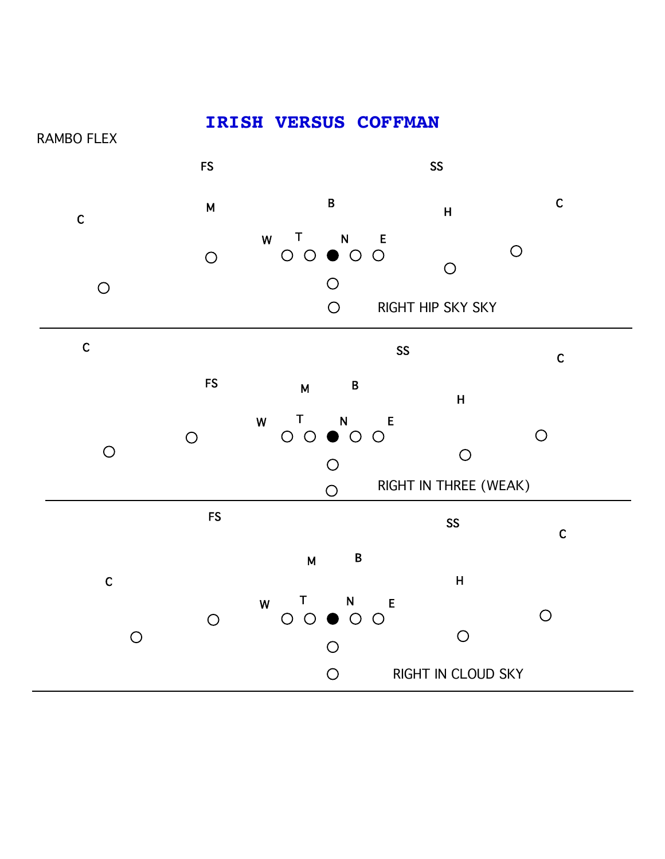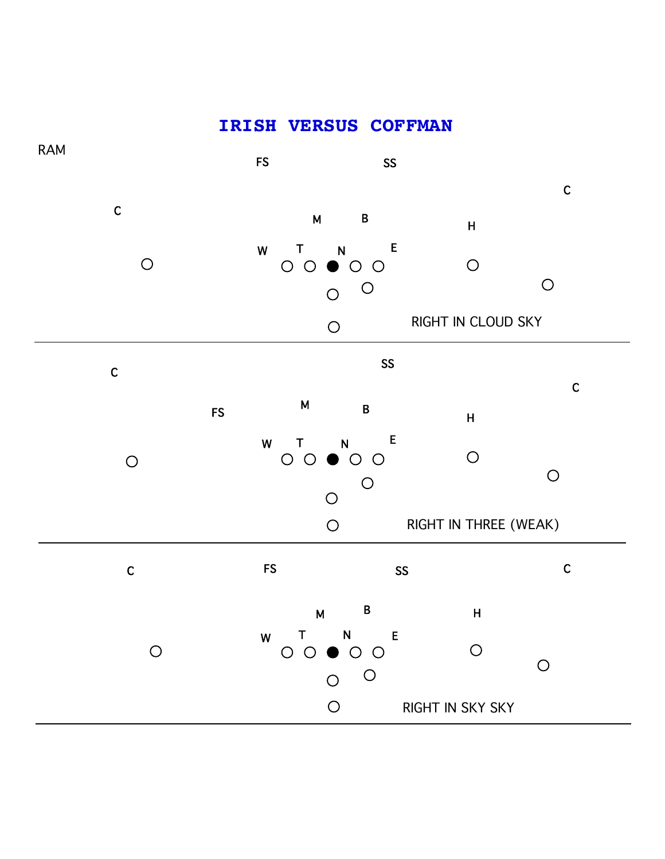## **IRISH VERSUS COFFMAN**

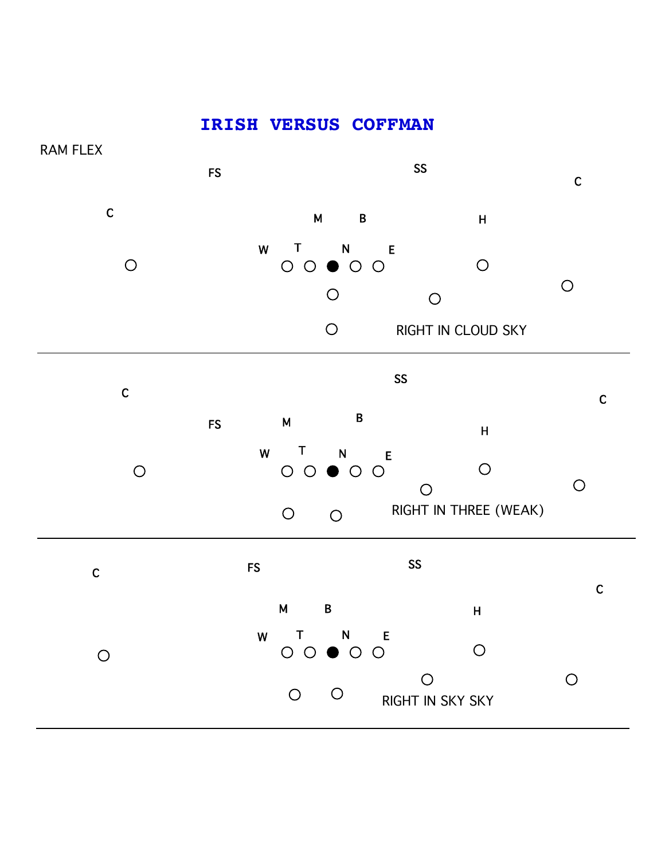## **IRISH VERSUS COFFMAN**